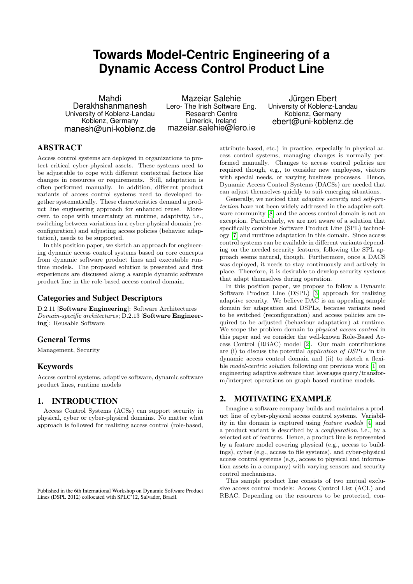# **Towards Model-Centric Engineering of a Dynamic Access Control Product Line**

Mahdi Derakhshanmanesh University of Koblenz-Landau Koblenz, Germany manesh@uni-koblenz.de

Mazeiar Salehie Lero- The Irish Software Eng. Research Centre Limerick, Ireland mazeiar.salehie@lero.ie

Jürgen Ebert University of Koblenz-Landau Koblenz, Germany ebert@uni-koblenz.de

# ABSTRACT

Access control systems are deployed in organizations to protect critical cyber-physical assets. These systems need to be adjustable to cope with different contextual factors like changes in resources or requirements. Still, adaptation is often performed manually. In addition, different product variants of access control systems need to developed together systematically. These characteristics demand a product line engineering approach for enhanced reuse. Moreover, to cope with uncertainty at runtime, adaptivity, i.e., switching between variations in a cyber-physical domain (reconfiguration) and adjusting access policies (behavior adaptation), needs to be supported.

In this position paper, we sketch an approach for engineering dynamic access control systems based on core concepts from dynamic software product lines and executable runtime models. The proposed solution is presented and first experiences are discussed along a sample dynamic software product line in the role-based access control domain.

### Categories and Subject Descriptors

D.2.11 [Software Engineering]: Software Architectures— Domain-specific architectures; D.2.13 [Software Engineering]: Reusable Software

### General Terms

Management, Security

### Keywords

Access control systems, adaptive software, dynamic software product lines, runtime models

# 1. INTRODUCTION

Access Control Systems (ACSs) can support security in physical, cyber or cyber-physical domains. No matter what approach is followed for realizing access control (role-based,

Published in the 6th International Workshop on Dynamic Software Product Lines (DSPL 2012) collocated with SPLC'12, Salvador, Brazil.

attribute-based, etc.) in practice, especially in physical access control systems, managing changes is normally performed manually. Changes to access control policies are required though, e.g., to consider new employees, visitors with special needs, or varying business processes. Hence, Dynamic Access Control Systems (DACSs) are needed that can adjust themselves quickly to suit emerging situations.

Generally, we noticed that adaptive security and self-protection have not been widely addressed in the adaptive software community [\[8\]](#page-3-0) and the access control domain is not an exception. Particularly, we are not aware of a solution that specifically combines Software Product Line (SPL) technology [\[7\]](#page-3-1) and runtime adaptation in this domain. Since access control systems can be available in different variants depending on the needed security features, following the SPL approach seems natural, though. Furthermore, once a DACS was deployed, it needs to stay continuously and actively in place. Therefore, it is desirable to develop security systems that adapt themselves during operation.

In this position paper, we propose to follow a Dynamic Software Product Line (DSPL) [\[3\]](#page-3-2) approach for realizing adaptive security. We believe DAC is an appealing sample domain for adaptation and DSPLs, because variants need to be switched (reconfiguration) and access policies are required to be adjusted (behaviour adaptation) at runtime. We scope the problem domain to physical access control in this paper and we consider the well-known Role-Based Access Control (RBAC) model [\[2\]](#page-3-3). Our main contributions are (i) to discuss the potential application of DSPLs in the dynamic access control domain and (ii) to sketch a flexible model-centric solution following our previous work [\[1\]](#page-3-4) on engineering adaptive software that leverages query/transform/interpret operations on graph-based runtime models.

### <span id="page-0-0"></span>2. MOTIVATING EXAMPLE

Imagine a software company builds and maintains a product line of cyber-physical access control systems. Variability in the domain is captured using feature models [\[4\]](#page-3-5) and a product variant is described by a configuration, i.e., by a selected set of features. Hence, a product line is represented by a feature model covering physical (e.g., access to buildings), cyber (e.g., access to file systems), and cyber-physical access control systems (e.g., access to physical and information assets in a company) with varying sensors and security control mechanisms.

This sample product line consists of two mutual exclusive access control models: Access Control List (ACL) and RBAC. Depending on the resources to be protected, con-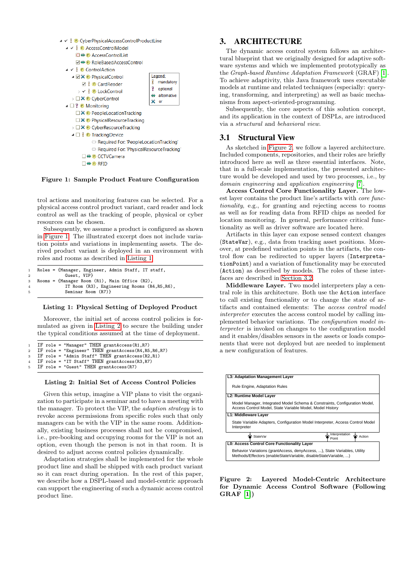

<span id="page-1-0"></span>Figure 1: Sample Product Feature Configuration

trol actions and monitoring features can be selected. For a physical access control product variant, card reader and lock control as well as the tracking of people, physical or cyber resources can be chosen.

Subsequently, we assume a product is configured as shown in [Figure 1.](#page-1-0) The illustrated excerpt does not include variation points and variations in implementing assets. The derived product variant is deployed in an environment with roles and rooms as described in [Listing 1.](#page-1-1)

```
1 Roles = {Manager, Engineer, Admin Staff, IT staff,
2 Guest, VIP}
3 Rooms = {Manager Room (R1), Main Office (R2),
4 IT Room (R3), Engineering Rooms (R4, R5, R6),<br>5 Seminar Room (R7)}
              Seminar Room (R7)}
```
### Listing 1: Physical Setting of Deployed Product

Moreover, the initial set of access control policies is formulated as given in [Listing 2](#page-1-2) to secure the building under the typical conditions assumed at the time of deployment.

<span id="page-1-2"></span>

|  |  |  |  |  |  | IF role = "Manager" THEN grantAccess(R1,R7) |  |
|--|--|--|--|--|--|---------------------------------------------|--|
|--|--|--|--|--|--|---------------------------------------------|--|

```
2 IF role = "Engineer" THEN grantAccess(R4,R5,R6,R7)
```

```
3 IF role = "Admin Staff" THEN grantAccess(R2,R1)<br>4 IF role = "IT Staff" THEN grantAccess(R3,R7)
```

```
4 IF role = "IT Staff" THEN grantAccess(R3,R7)<br>5 IF role = "Guest" THEN grantAccess(R7)
     5 IF role = "Guest" THEN grantAccess(R7)
```
### Listing 2: Initial Set of Access Control Policies

Given this setup, imagine a VIP plans to visit the organization to participate in a seminar and to have a meeting with the manager. To protect the VIP, the adaption strategy is to revoke access permissions from specific roles such that only managers can be with the VIP in the same room. Additionally, existing business processes shall not be compromised, i.e., pre-booking and occupying rooms for the VIP is not an option, even though the person is not in that room. It is desired to adjust access control policies dynamically.

Adaptation strategies shall be implemented for the whole product line and shall be shipped with each product variant so it can react during operation. In the rest of this paper, we describe how a DSPL-based and model-centric approach can support the engineering of such a dynamic access control product line.

# 3. ARCHITECTURE

The dynamic access control system follows an architectural blueprint that we originally designed for adaptive software systems and which we implemented prototypically as the Graph-based Runtime Adaptation Framework (GRAF) [\[1\]](#page-3-4). To achieve adaptivity, this Java framework uses executable models at runtime and related techniques (especially: querying, transforming, and interpreting) as well as basic mechanisms from aspect-oriented-programming.

Subsequently, the core aspects of this solution concept, and its application in the context of DSPLs, are introduced via a structural and behavioral view.

# 3.1 Structural View

As sketched in [Figure 2,](#page-1-3) we follow a layered architecture. Included components, repositories, and their roles are briefly introduced here as well as three essential interfaces. Note, that in a full-scale implementation, the presented architecture would be developed and used by two processes, i.e., by domain engineering and application engineering [\[7\]](#page-3-1).

Access Control Core Functionality Layer. The lowest layer contains the product line's artifacts with core functionality, e.g., for granting and rejecting access to rooms as well as for reading data from RFID chips as needed for location monitoring. In general, performance critical functionality as well as driver software are located here.

Artifacts in this layer can expose sensed context changes (StateVar), e.g., data from tracking asset positions. Moreover, at predefined variation points in the artifacts, the control flow can be redirected to upper layers (InterpretationPoint) and a variation of functionality may be executed (Action) as described by models. The roles of these interfaces are described in [Section 3.2.](#page-2-0)

Middleware Layer. Two model interpreters play a central role in this architecture. Both use the Action interface to call existing functionality or to change the state of artifacts and contained elements: The access control model interpreter executes the access control model by calling implemented behavior variations. The configuration model interpreter is invoked on changes to the configuration model and it enables/disables sensors in the assets or loads components that were not deployed but are needed to implement a new configuration of features.



<span id="page-1-3"></span>Figure 2: Layered Model-Centric Architecture for Dynamic Access Control Software (Following GRAF [\[1\]](#page-3-4))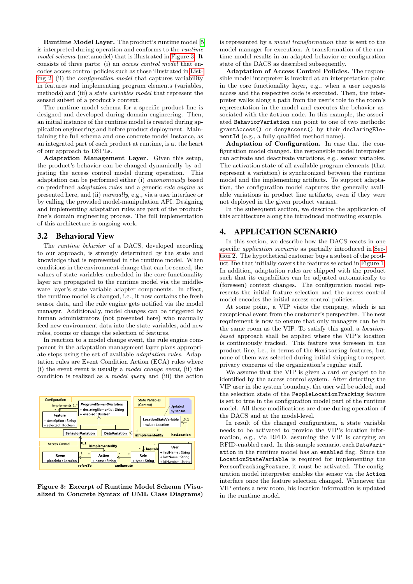Runtime Model Layer. The product's runtime model [\[5\]](#page-3-6) is interpreted during operation and conforms to the runtime model schema (metamodel) that is illustrated in [Figure 3.](#page-2-1) It consists of three parts: (i) an access control model that encodes access control policies such as those illustrated in [List](#page-1-2)[ing 2,](#page-1-2) (ii) the configuration model that captures variability in features and implementing program elements (variables, methods) and (iii) a *state variables model* that represent the sensed subset of a product's context.

The runtime model schema for a specific product line is designed and developed during domain engineering. Then, an initial instance of the runtime model is created during application engineering and before product deployment. Maintaining the full schema and one concrete model instance, as an integrated part of each product at runtime, is at the heart of our approach to DSPLs.

Adaptation Management Layer. Given this setup, the product's behavior can be changed dynamically by adjusting the access control model during operation. This adaptation can be performed either (i) autonomously based on predefined adaptation rules and a generic rule engine as presented here, and (ii) manually, e.g., via a user interface or by calling the provided model-manipulation API. Designing and implementing adaptation rules are part of the productline's domain engineering process. The full implementation of this architecture is ongoing work.

### <span id="page-2-0"></span>3.2 Behavioral View

The runtime behavior of a DACS, developed according to our approach, is strongly determined by the state and knowledge that is represented in the runtime model. When conditions in the environment change that can be sensed, the values of state variables embedded in the core functionality layer are propagated to the runtime model via the middleware layer's state variable adapter components. In effect, the runtime model is changed, i.e., it now contains the fresh sensor data, and the rule engine gets notified via the model manager. Additionally, model changes can be triggered by human administrators (not presented here) who manually feed new environment data into the state variables, add new roles, rooms or change the selection of features.

In reaction to a model change event, the rule engine component in the adaptation management layer plans appropriate steps using the set of available adaptation rules. Adaptation rules are Event Condition Action (ECA) rules where (i) the event event is usually a model change event, (ii) the condition is realized as a model query and (iii) the action



<span id="page-2-1"></span>Figure 3: Excerpt of Runtime Model Schema (Visualized in Concrete Syntax of UML Class Diagrams)

is represented by a model transformation that is sent to the model manager for execution. A transformation of the runtime model results in an adapted behavior or configuration state of the DACS as described subsequently.

Adaptation of Access Control Policies. The responsible model interpreter is invoked at an interpretation point in the core functionality layer, e.g., when a user requests access and the respective code is executed. Then, the interpreter walks along a path from the user's role to the room's representation in the model and executes the behavior associated with the Action node. In this example, the associated BehaviorVariation can point to one of two methods: grantAccess() or denyAccess() by their declaringElementId (e.g., a fully qualified method name).

Adaptation of Configuration. In case that the configuration model changed, the responsible model interpreter can activate and deactivate variations, e.g., sensor variables. The activation state of all available program elements (that represent a variation) is synchronized between the runtime model and the implementing artifacts. To support adaptation, the configuration model captures the generally available variations in product line artifacts, even if they were not deployed in the given product variant.

In the subsequent section, we describe the application of this architecture along the introduced motivating example.

# 4. APPLICATION SCENARIO

In this section, we describe how the DACS reacts in one specific *application scenario* as partially introduced in [Sec](#page-0-0)[tion 2.](#page-0-0) The hypothetical customer buys a subset of the product line that initially covers the features selected in [Figure 1.](#page-1-0) In addition, adaptation rules are shipped with the product such that its capabilities can be adjusted automatically to (foreseen) context changes. The configuration model represents the initial feature selection and the access control model encodes the initial access control policies.

At some point, a VIP visits the company, which is an exceptional event from the customer's perspective. The new requirement is now to ensure that only managers can be in the same room as the VIP. To satisfy this goal, a locationbased approach shall be applied where the VIP's location is continuously tracked. This feature was foreseen in the product line, i.e., in terms of the Monitoring features, but none of them was selected during initial shipping to respect privacy concerns of the organization's regular staff.

We assume that the VIP is given a card or gadget to be identified by the access control system. After detecting the VIP user in the system boundary, the user will be added, and the selection state of the PeopleLocationTracking feature is set to true in the configuration model part of the runtime model. All these modifications are done during operation of the DACS and at the model-level.

In result of the changed configuration, a state variable needs to be activated to provide the VIP's location information, e.g., via RFID, assuming the VIP is carrying an RFID-enabled card. In this sample scenario, each DataVariation in the runtime model has an enabled flag. Since the LocationStateVariable is required for implementing the PersonTrackingFeature, it must be activated. The configuration model interpreter enables the sensor via the Action interface once the feature selection changed. Whenever the VIP enters a new room, his location information is updated in the runtime model.